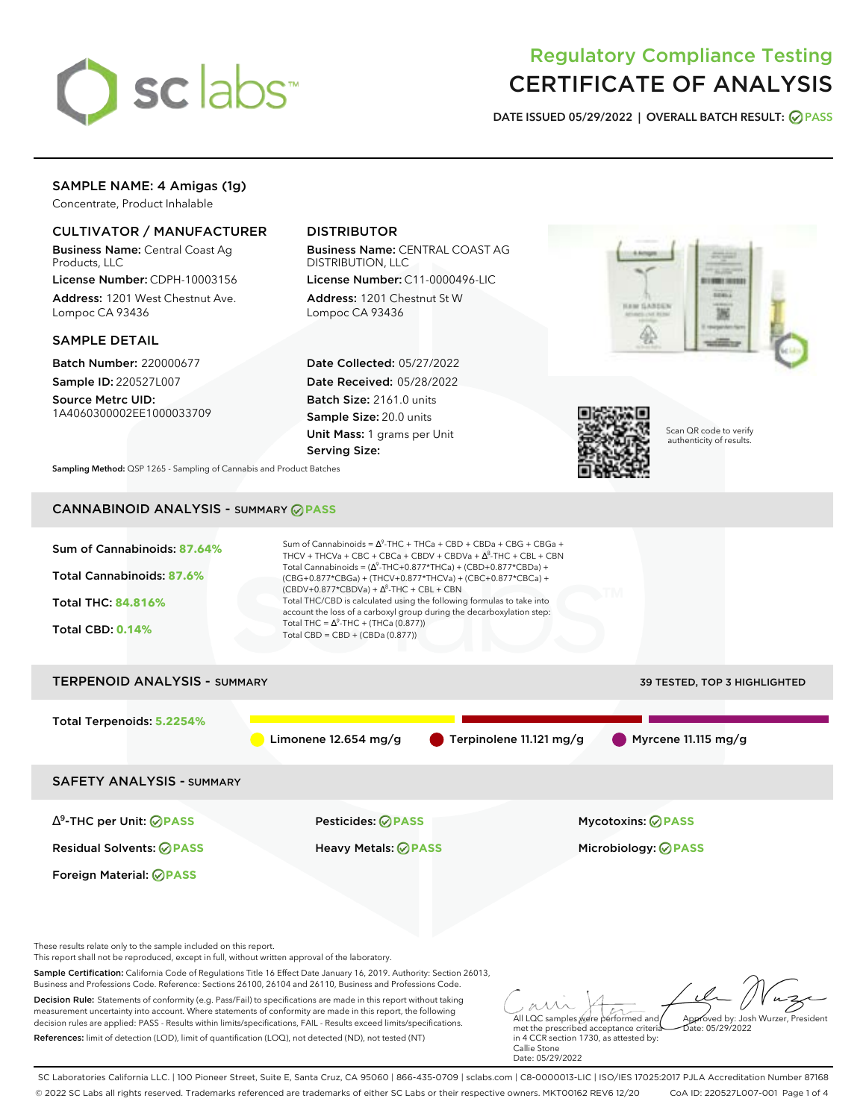

# Regulatory Compliance Testing CERTIFICATE OF ANALYSIS

**DATE ISSUED 05/29/2022 | OVERALL BATCH RESULT: PASS**

# SAMPLE NAME: 4 Amigas (1g)

Concentrate, Product Inhalable

## CULTIVATOR / MANUFACTURER

Business Name: Central Coast Ag Products, LLC

License Number: CDPH-10003156 Address: 1201 West Chestnut Ave. Lompoc CA 93436

### SAMPLE DETAIL

Batch Number: 220000677 Sample ID: 220527L007

Source Metrc UID: 1A4060300002EE1000033709

# DISTRIBUTOR

Business Name: CENTRAL COAST AG DISTRIBUTION, LLC

License Number: C11-0000496-LIC Address: 1201 Chestnut St W Lompoc CA 93436

Date Collected: 05/27/2022 Date Received: 05/28/2022 Batch Size: 2161.0 units Sample Size: 20.0 units Unit Mass: 1 grams per Unit Serving Size:





Scan QR code to verify authenticity of results.

**Sampling Method:** QSP 1265 - Sampling of Cannabis and Product Batches

# CANNABINOID ANALYSIS - SUMMARY **PASS**



Business and Professions Code. Reference: Sections 26100, 26104 and 26110, Business and Professions Code. Decision Rule: Statements of conformity (e.g. Pass/Fail) to specifications are made in this report without taking measurement uncertainty into account. Where statements of conformity are made in this report, the following decision rules are applied: PASS - Results within limits/specifications, FAIL - Results exceed limits/specifications. References: limit of detection (LOD), limit of quantification (LOQ), not detected (ND), not tested (NT)

met the prescribed acceptance criteria in 4 CCR section 1730, as attested by: Callie Stone Date: 05/29/2022  $hat: 05/29/2022$ 

Approved by: Josh Wurzer, President

All LQC samples were performed and

SC Laboratories California LLC. | 100 Pioneer Street, Suite E, Santa Cruz, CA 95060 | 866-435-0709 | sclabs.com | C8-0000013-LIC | ISO/IES 17025:2017 PJLA Accreditation Number 87168 © 2022 SC Labs all rights reserved. Trademarks referenced are trademarks of either SC Labs or their respective owners. MKT00162 REV6 12/20 CoA ID: 220527L007-001 Page 1 of 4